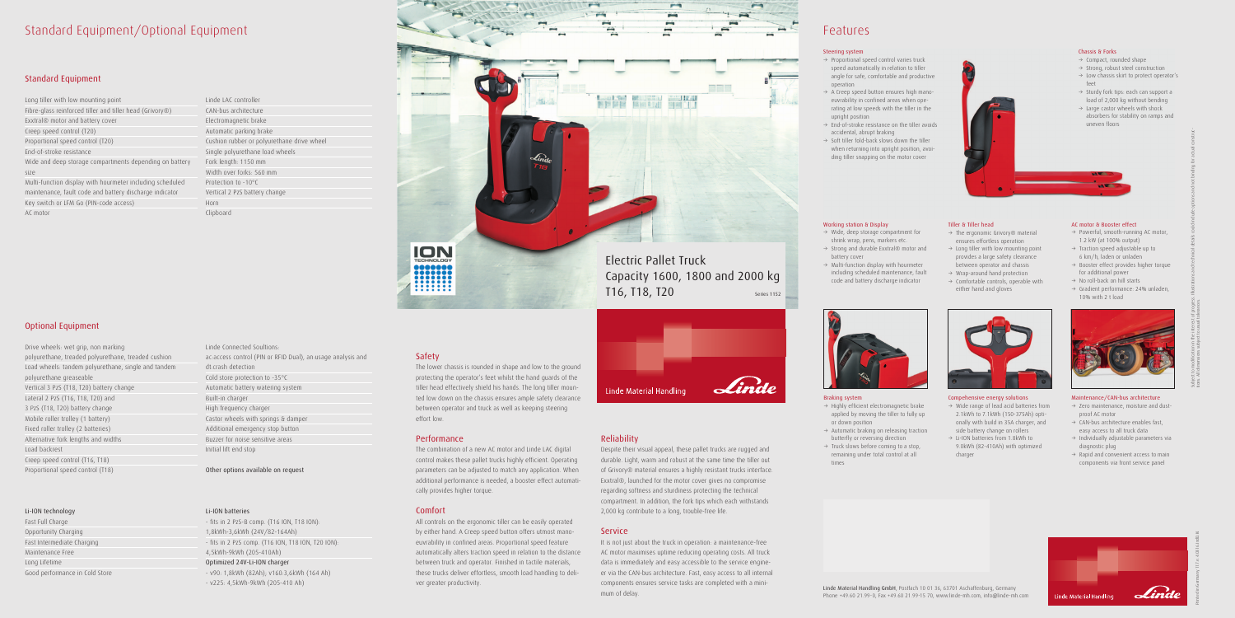## Standard Equipment/Optional Equipment

#### Standard Equipment

Long tiller with low mounting point Fibre-glass reinforced tiller and tiller head (Grivory®) Exxtral® motor and battery cover Creep speed control (T20) Proportional speed control (T20) End-of-stroke resistance Wide and deep storage compartments depending on battery size Multi-function display with hourmeter including scheduled maintenance, fault code and battery discharge indicator Key switch or LFM Go (PIN-code access) AC motor

### Optional Equipment

Drive wheels: wet grip, non marking polyurethane, treaded polyurethane, treaded cushion Load wheels: tandem polyurethane, single and tandem polyurethane greaseable Vertical 3 PzS (T18, T20) battery change Lateral 2 PzS (T16, T18, T20) and 3 PzS (T18, T20) battery change Mobile roller trolley (1 battery) Fixed roller trolley (2 batteries) Alternative fork lengths and widths Load backrest Creep speed control (T16, T18) Proportional speed control (T18)

#### Li-ION technology

Fast Full Charge Opportunity Charging Fast Intermediate Charging Maintenance Free Long Lifetime Good performance in Cold Store

Linde LAC controller CAN-bus architecture Electromagnetic brake Automatic parking brake Cushion rubber or polyurethane drive wheel Single polyurethane load wheels Fork length: 1150 mm Width over forks: 560 mm Protection to -10°C Vertical 2 PzS battery change Horn Clipboard

Linde Connected Soultions: ac:access control (PIN or RFID Dual), an:usage analysis and dt:crash detection Cold store protection to -35°C Automatic battery watering system Built-in charger High frequency charger Castor wheels with springs & damper Additional emergency stop button Buzzer for noise sensitive areas Initial lift end stop

Other options available on request

#### Li-ION batteries

- fits in 2 PzS-B comp. (T16 ION, T18 ION): 1,8kWh-3,6kWh (24V/82-164Ah) - fits in 2 PzS comp. (T16 ION, T18 ION, T20 ION): 4,5kWh-9kWh (205-410Ah) Optimized 24V-Li-ION charger - v90: 1,8kWh (82Ah); v160:3,6kWh (164 Ah)

- v225: 4,5kWh-9kWh (205-410 Ah)

 $\rightarrow$  Highly efficient electromagnetic brake applied by moving the tiller to fully up

### Safety

 $\rightarrow$  Automatic braking on releasing traction butterfly or reversing direction  $\rightarrow$  Truck slows before coming to a stop, remaining under total control at all

The lower chassis is rounded in shape and low to the ground protecting the operator's feet whilst the hand guards of the tiller head effectively shield his hands. The long tiller mounted low down on the chassis ensures ample safety clearance between operator and truck as well as keeping steering effort low.

- $\rightarrow$  Wide, deep storage compartment for shrink wrap, pens, markers etc.
- $\rightarrow$  Strong and durable Exxtral® motor and battery cover
- $\rightarrow$  Multi-function display with hourmeter including scheduled maintenance, fault code and battery discharge indicator

#### Performance

- $\rightarrow$  Wide range of lead acid batteries from 2.1kWh to 7.1kWh (150-375Ah) optionally with build in 35A charger, and side battery change on rollers
- $\rightarrow$  Li-ION batteries from 1.8kWh to 9.0kWh (82-410Ah) with optimized charger

The combination of a new AC motor and Linde LAC digital control makes these pallet trucks highly efficient. Operating parameters can be adjusted to match any application. When additional performance is needed, a booster effect automatically provides higher torque.

- $\rightarrow$  Powerful, smooth-running AC motor, 1.2 kW (at 100% output)
- $\rightarrow$  Traction speed adjustable up to 6 km/h, laden or unladen
- $\rightarrow$  Booster effect provides higher torque for additional power
- $\rightarrow$  No roll-back on hill starts  $\rightarrow$  Gradient performance: 24% unladen,
- 10% with 2 t load



#### Comfort

- $\rightarrow$  Zero maintenance, moisture and dustproof AC motor
- $\rightarrow$  CAN-bus architecture enables fast, easy access to all truck data
- $\rightarrow$  Individually adjustable parameters via diagnostic plug
- $\rightarrow$  Rapid and convenient access to main components via front service panel



All controls on the ergonomic tiller can be easily operated by either hand. A Creep speed button offers utmost manoeuvrability in confined areas. Proportional speed feature automatically alters traction speed in relation to the distance between truck and operator. Finished in tactile materials, these trucks deliver effortless, smooth load handling to deliver greater productivity.



- $\rightarrow$  Compact, rounded shape
- $\rightarrow$  Strong, robust steel construction
- $\rightarrow$  Low chassis skirt to protect operator's feet
- $\rightarrow$  Sturdy fork tips: each can support a load of 2,000 kg without bending
- $\rightarrow$  Large castor wheels with shock absorbers for stability on ramps and uneven floors

#### Reliability

- $\rightarrow$  The ergonomic Grivory® material ensures effortless operation
- $\rightarrow$  Long tiller with low mounting point provides a large safety clearance
- between operator and chassis  $\rightarrow$  Wrap-around hand protection
- $\rightarrow$  Comfortable controls, operable with either hand and gloves



Despite their visual appeal, these pallet trucks are rugged and durable. Light, warm and robust at the same time the tiller out of Grivory® material ensures a highly resistant trucks interface. Exxtral®, launched for the motor cover gives no compromise regarding softness and sturdiness protecting the technical compartment. In addition, the fork tips which each withstands 2,000 kg contribute to a long, trouble-free life.

- $\rightarrow$  Proportional speed control varies truck speed automatically in relation to tiller angle for safe, comfortable and productive operation
- $\rightarrow$  A Creep speed button ensures high manoeuvrability in confined areas when operating at low speeds with the tiller in the upright position
- $\rightarrow$  End-of-stroke resistance on the tiller avoids accidental, abrupt braking
- $\rightarrow$  Soft tiller fold-back slows down the tiller when returning into upright position, avoiding tiller snapping on the motor cover

#### Service

It is not just about the truck in operation: a maintenance-free AC motor maximises uptime reducing operating costs. All truck data is immediately and easy accessible to the service engineer via the CAN-bus architecture. Fast, easy access to all internal components ensures service tasks are completed with a minimum of delay.

## Features

Linde Material Handling GmbH, Postfach 10 01 36, 63701 Aschaffenburg, Germany Phone +49.60 21.99-0, Fax +49.60 21.99-15 70, www.linde-mh.com, info@linde-mh.com

Linde Material Handling

Braking system

or down position

times

#### Working station & Display

#### Compehensive energy solutions

#### AC motor & Booster effect

#### Maintenance/CAN-bus architecture

Subject to modification in the interest of progress. Illustrations and technical details could include options and not binding for actual construc-

tions. All dimensions subject to usual tolerances.

#### Chassis & Forks



#### Steering system